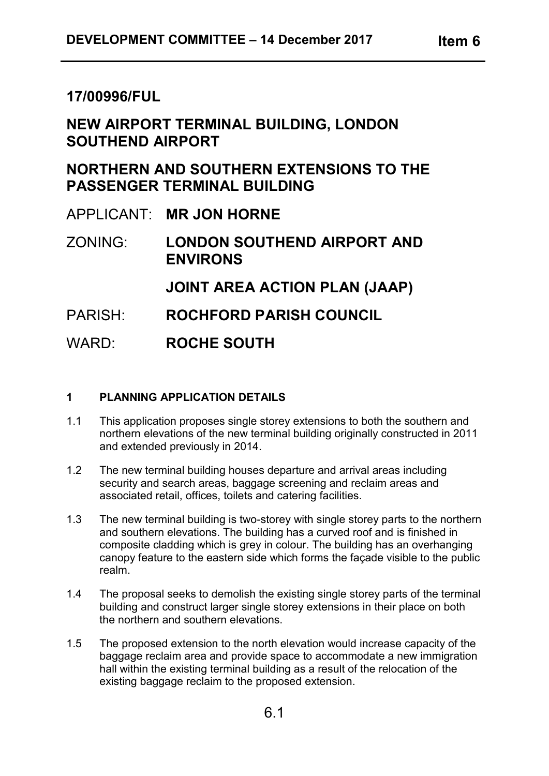# **17/00996/FUL**

# **NEW AIRPORT TERMINAL BUILDING, LONDON SOUTHEND AIRPORT**

# **NORTHERN AND SOUTHERN EXTENSIONS TO THE PASSENGER TERMINAL BUILDING**

APPLICANT: **MR JON HORNE**

ZONING: **LONDON SOUTHEND AIRPORT AND ENVIRONS**

**JOINT AREA ACTION PLAN (JAAP)**

- PARISH: **ROCHFORD PARISH COUNCIL**
- WARD: **ROCHE SOUTH**

# **1 PLANNING APPLICATION DETAILS**

- 1.1 This application proposes single storey extensions to both the southern and northern elevations of the new terminal building originally constructed in 2011 and extended previously in 2014.
- 1.2 The new terminal building houses departure and arrival areas including security and search areas, baggage screening and reclaim areas and associated retail, offices, toilets and catering facilities.
- 1.3 The new terminal building is two-storey with single storey parts to the northern and southern elevations. The building has a curved roof and is finished in composite cladding which is grey in colour. The building has an overhanging canopy feature to the eastern side which forms the façade visible to the public realm.
- 1.4 The proposal seeks to demolish the existing single storey parts of the terminal building and construct larger single storey extensions in their place on both the northern and southern elevations.
- 1.5 The proposed extension to the north elevation would increase capacity of the baggage reclaim area and provide space to accommodate a new immigration hall within the existing terminal building as a result of the relocation of the existing baggage reclaim to the proposed extension.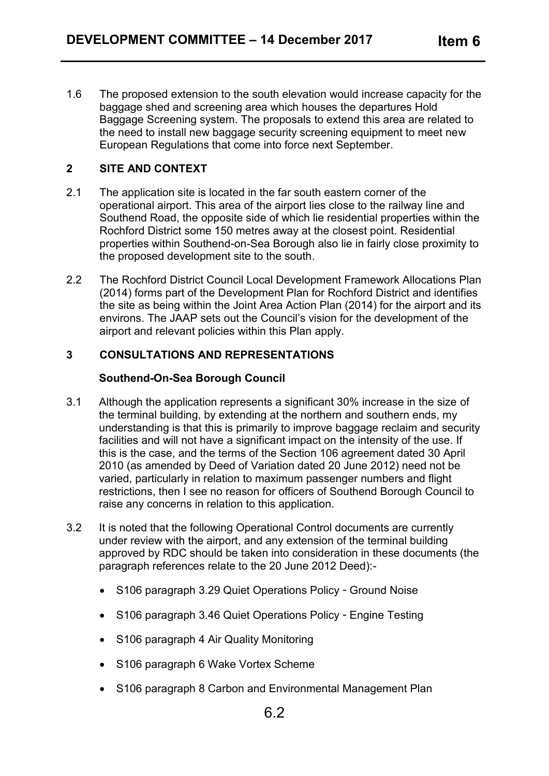1.6 The proposed extension to the south elevation would increase capacity for the baggage shed and screening area which houses the departures Hold Baggage Screening system. The proposals to extend this area are related to the need to install new baggage security screening equipment to meet new European Regulations that come into force next September.

# **2 SITE AND CONTEXT**

- 2.1 The application site is located in the far south eastern corner of the operational airport. This area of the airport lies close to the railway line and Southend Road, the opposite side of which lie residential properties within the Rochford District some 150 metres away at the closest point. Residential properties within Southend-on-Sea Borough also lie in fairly close proximity to the proposed development site to the south.
- 2.2 The Rochford District Council Local Development Framework Allocations Plan (2014) forms part of the Development Plan for Rochford District and identifies the site as being within the Joint Area Action Plan (2014) for the airport and its environs. The JAAP sets out the Council's vision for the development of the airport and relevant policies within this Plan apply.

## **3 CONSULTATIONS AND REPRESENTATIONS**

#### **Southend-On-Sea Borough Council**

- 3.1 Although the application represents a significant 30% increase in the size of the terminal building, by extending at the northern and southern ends, my understanding is that this is primarily to improve baggage reclaim and security facilities and will not have a significant impact on the intensity of the use. If this is the case, and the terms of the Section 106 agreement dated 30 April 2010 (as amended by Deed of Variation dated 20 June 2012) need not be varied, particularly in relation to maximum passenger numbers and flight restrictions, then I see no reason for officers of Southend Borough Council to raise any concerns in relation to this application.
- 3.2 It is noted that the following Operational Control documents are currently under review with the airport, and any extension of the terminal building approved by RDC should be taken into consideration in these documents (the paragraph references relate to the 20 June 2012 Deed):-
	- S106 paragraph 3.29 Quiet Operations Policy Ground Noise
	- S106 paragraph 3.46 Quiet Operations Policy Engine Testing
	- S106 paragraph 4 Air Quality Monitoring
	- S106 paragraph 6 Wake Vortex Scheme
	- S106 paragraph 8 Carbon and Environmental Management Plan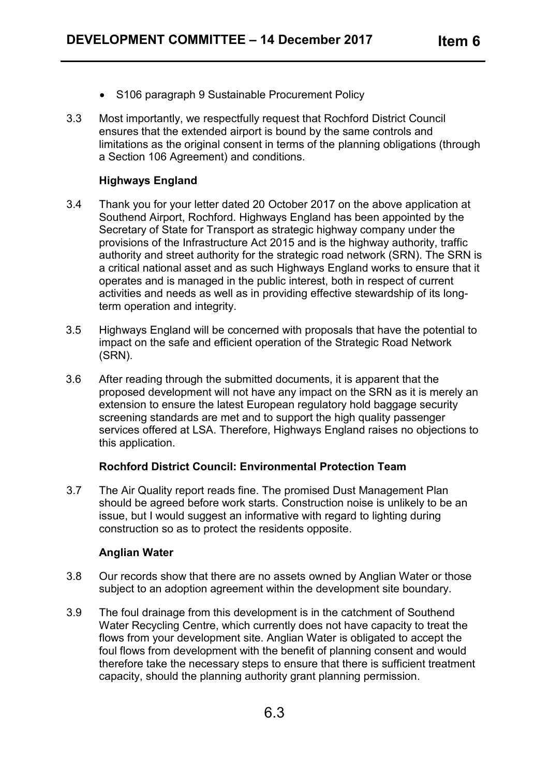- S106 paragraph 9 Sustainable Procurement Policy
- 3.3 Most importantly, we respectfully request that Rochford District Council ensures that the extended airport is bound by the same controls and limitations as the original consent in terms of the planning obligations (through a Section 106 Agreement) and conditions.

## **Highways England**

- 3.4 Thank you for your letter dated 20 October 2017 on the above application at Southend Airport, Rochford. Highways England has been appointed by the Secretary of State for Transport as strategic highway company under the provisions of the Infrastructure Act 2015 and is the highway authority, traffic authority and street authority for the strategic road network (SRN). The SRN is a critical national asset and as such Highways England works to ensure that it operates and is managed in the public interest, both in respect of current activities and needs as well as in providing effective stewardship of its longterm operation and integrity.
- 3.5 Highways England will be concerned with proposals that have the potential to impact on the safe and efficient operation of the Strategic Road Network (SRN).
- 3.6 After reading through the submitted documents, it is apparent that the proposed development will not have any impact on the SRN as it is merely an extension to ensure the latest European regulatory hold baggage security screening standards are met and to support the high quality passenger services offered at LSA. Therefore, Highways England raises no objections to this application.

# **Rochford District Council: Environmental Protection Team**

3.7 The Air Quality report reads fine. The promised Dust Management Plan should be agreed before work starts. Construction noise is unlikely to be an issue, but I would suggest an informative with regard to lighting during construction so as to protect the residents opposite.

#### **Anglian Water**

- 3.8 Our records show that there are no assets owned by Anglian Water or those subject to an adoption agreement within the development site boundary.
- 3.9 The foul drainage from this development is in the catchment of Southend Water Recycling Centre, which currently does not have capacity to treat the flows from your development site. Anglian Water is obligated to accept the foul flows from development with the benefit of planning consent and would therefore take the necessary steps to ensure that there is sufficient treatment capacity, should the planning authority grant planning permission.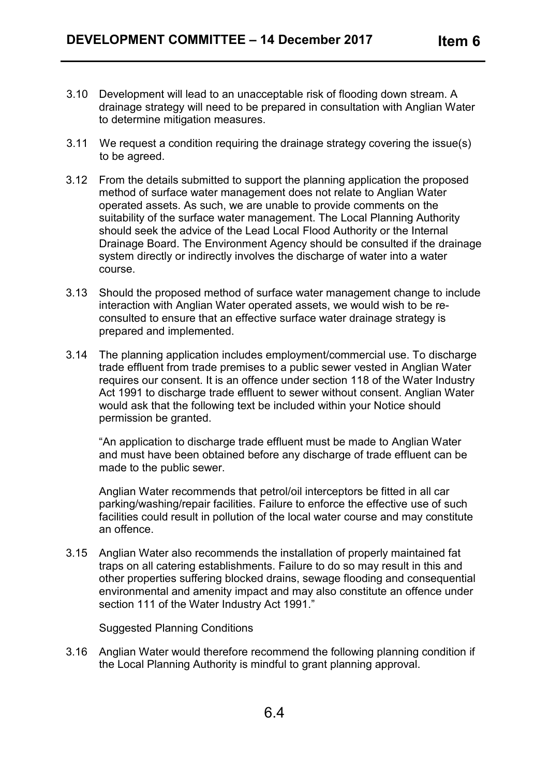- 3.10 Development will lead to an unacceptable risk of flooding down stream. A drainage strategy will need to be prepared in consultation with Anglian Water to determine mitigation measures.
- 3.11 We request a condition requiring the drainage strategy covering the issue(s) to be agreed.
- 3.12 From the details submitted to support the planning application the proposed method of surface water management does not relate to Anglian Water operated assets. As such, we are unable to provide comments on the suitability of the surface water management. The Local Planning Authority should seek the advice of the Lead Local Flood Authority or the Internal Drainage Board. The Environment Agency should be consulted if the drainage system directly or indirectly involves the discharge of water into a water course.
- 3.13 Should the proposed method of surface water management change to include interaction with Anglian Water operated assets, we would wish to be reconsulted to ensure that an effective surface water drainage strategy is prepared and implemented.
- 3.14 The planning application includes employment/commercial use. To discharge trade effluent from trade premises to a public sewer vested in Anglian Water requires our consent. It is an offence under section 118 of the Water Industry Act 1991 to discharge trade effluent to sewer without consent. Anglian Water would ask that the following text be included within your Notice should permission be granted.

"An application to discharge trade effluent must be made to Anglian Water and must have been obtained before any discharge of trade effluent can be made to the public sewer.

Anglian Water recommends that petrol/oil interceptors be fitted in all car parking/washing/repair facilities. Failure to enforce the effective use of such facilities could result in pollution of the local water course and may constitute an offence.

3.15 Anglian Water also recommends the installation of properly maintained fat traps on all catering establishments. Failure to do so may result in this and other properties suffering blocked drains, sewage flooding and consequential environmental and amenity impact and may also constitute an offence under section 111 of the Water Industry Act 1991."

Suggested Planning Conditions

3.16 Anglian Water would therefore recommend the following planning condition if the Local Planning Authority is mindful to grant planning approval.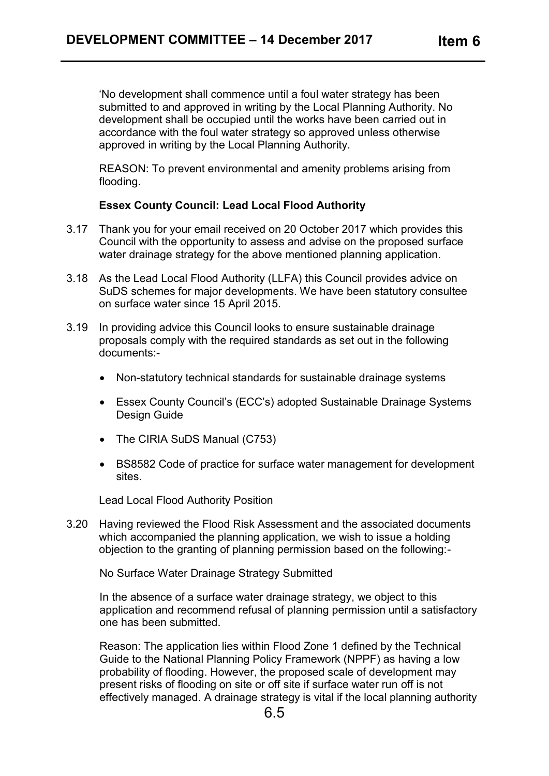'No development shall commence until a foul water strategy has been submitted to and approved in writing by the Local Planning Authority. No development shall be occupied until the works have been carried out in accordance with the foul water strategy so approved unless otherwise approved in writing by the Local Planning Authority.

REASON: To prevent environmental and amenity problems arising from flooding.

#### **Essex County Council: Lead Local Flood Authority**

- 3.17 Thank you for your email received on 20 October 2017 which provides this Council with the opportunity to assess and advise on the proposed surface water drainage strategy for the above mentioned planning application.
- 3.18 As the Lead Local Flood Authority (LLFA) this Council provides advice on SuDS schemes for major developments. We have been statutory consultee on surface water since 15 April 2015.
- 3.19 In providing advice this Council looks to ensure sustainable drainage proposals comply with the required standards as set out in the following documents:-
	- Non-statutory technical standards for sustainable drainage systems
	- Essex County Council's (ECC's) adopted Sustainable Drainage Systems Design Guide
	- The CIRIA SuDS Manual (C753)
	- BS8582 Code of practice for surface water management for development sites.

Lead Local Flood Authority Position

3.20 Having reviewed the Flood Risk Assessment and the associated documents which accompanied the planning application, we wish to issue a holding objection to the granting of planning permission based on the following:-

No Surface Water Drainage Strategy Submitted

In the absence of a surface water drainage strategy, we object to this application and recommend refusal of planning permission until a satisfactory one has been submitted.

Reason: The application lies within Flood Zone 1 defined by the Technical Guide to the National Planning Policy Framework (NPPF) as having a low probability of flooding. However, the proposed scale of development may present risks of flooding on site or off site if surface water run off is not effectively managed. A drainage strategy is vital if the local planning authority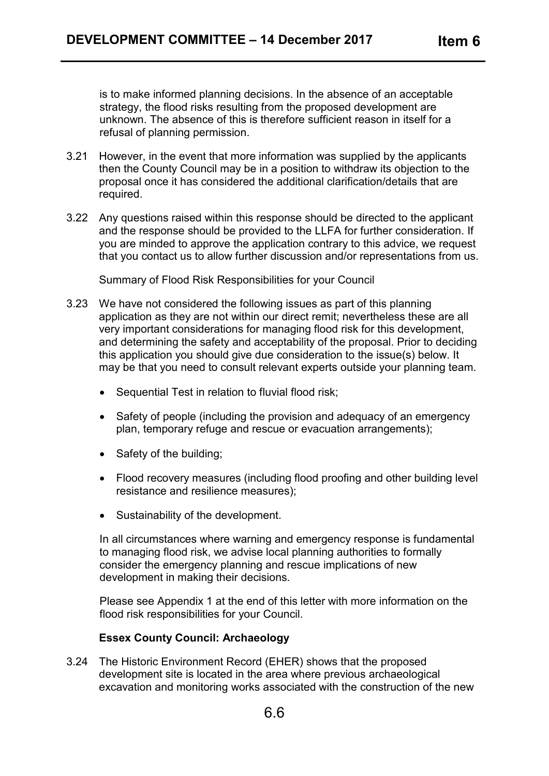is to make informed planning decisions. In the absence of an acceptable strategy, the flood risks resulting from the proposed development are unknown. The absence of this is therefore sufficient reason in itself for a refusal of planning permission.

- 3.21 However, in the event that more information was supplied by the applicants then the County Council may be in a position to withdraw its objection to the proposal once it has considered the additional clarification/details that are required.
- 3.22 Any questions raised within this response should be directed to the applicant and the response should be provided to the LLFA for further consideration. If you are minded to approve the application contrary to this advice, we request that you contact us to allow further discussion and/or representations from us.

Summary of Flood Risk Responsibilities for your Council

- 3.23 We have not considered the following issues as part of this planning application as they are not within our direct remit; nevertheless these are all very important considerations for managing flood risk for this development, and determining the safety and acceptability of the proposal. Prior to deciding this application you should give due consideration to the issue(s) below. It may be that you need to consult relevant experts outside your planning team.
	- Sequential Test in relation to fluvial flood risk;
	- Safety of people (including the provision and adequacy of an emergency plan, temporary refuge and rescue or evacuation arrangements);
	- Safety of the building;
	- Flood recovery measures (including flood proofing and other building level resistance and resilience measures);
	- Sustainability of the development.

In all circumstances where warning and emergency response is fundamental to managing flood risk, we advise local planning authorities to formally consider the emergency planning and rescue implications of new development in making their decisions.

Please see Appendix 1 at the end of this letter with more information on the flood risk responsibilities for your Council.

#### **Essex County Council: Archaeology**

3.24 The Historic Environment Record (EHER) shows that the proposed development site is located in the area where previous archaeological excavation and monitoring works associated with the construction of the new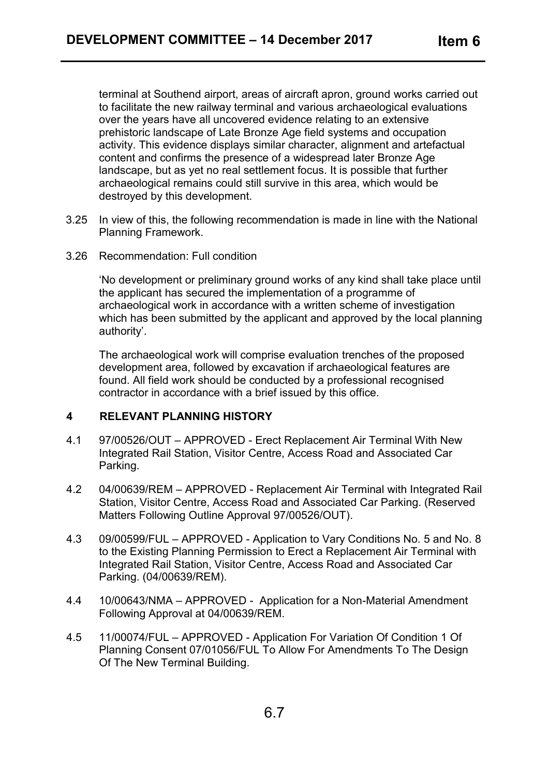terminal at Southend airport, areas of aircraft apron, ground works carried out to facilitate the new railway terminal and various archaeological evaluations over the years have all uncovered evidence relating to an extensive prehistoric landscape of Late Bronze Age field systems and occupation activity. This evidence displays similar character, alignment and artefactual content and confirms the presence of a widespread later Bronze Age landscape, but as yet no real settlement focus. It is possible that further archaeological remains could still survive in this area, which would be destroyed by this development.

- 3.25 In view of this, the following recommendation is made in line with the National Planning Framework.
- 3.26 Recommendation: Full condition

'No development or preliminary ground works of any kind shall take place until the applicant has secured the implementation of a programme of archaeological work in accordance with a written scheme of investigation which has been submitted by the applicant and approved by the local planning authority'.

The archaeological work will comprise evaluation trenches of the proposed development area, followed by excavation if archaeological features are found. All field work should be conducted by a professional recognised contractor in accordance with a brief issued by this office.

#### **4 RELEVANT PLANNING HISTORY**

- 4.1 97/00526/OUT APPROVED Erect Replacement Air Terminal With New Integrated Rail Station, Visitor Centre, Access Road and Associated Car Parking.
- 4.2 04/00639/REM APPROVED Replacement Air Terminal with Integrated Rail Station, Visitor Centre, Access Road and Associated Car Parking. (Reserved Matters Following Outline Approval 97/00526/OUT).
- 4.3 09/00599/FUL APPROVED Application to Vary Conditions No. 5 and No. 8 to the Existing Planning Permission to Erect a Replacement Air Terminal with Integrated Rail Station, Visitor Centre, Access Road and Associated Car Parking. (04/00639/REM).
- 4.4 10/00643/NMA APPROVED Application for a Non-Material Amendment Following Approval at 04/00639/REM.
- 4.5 11/00074/FUL APPROVED Application For Variation Of Condition 1 Of Planning Consent 07/01056/FUL To Allow For Amendments To The Design Of The New Terminal Building.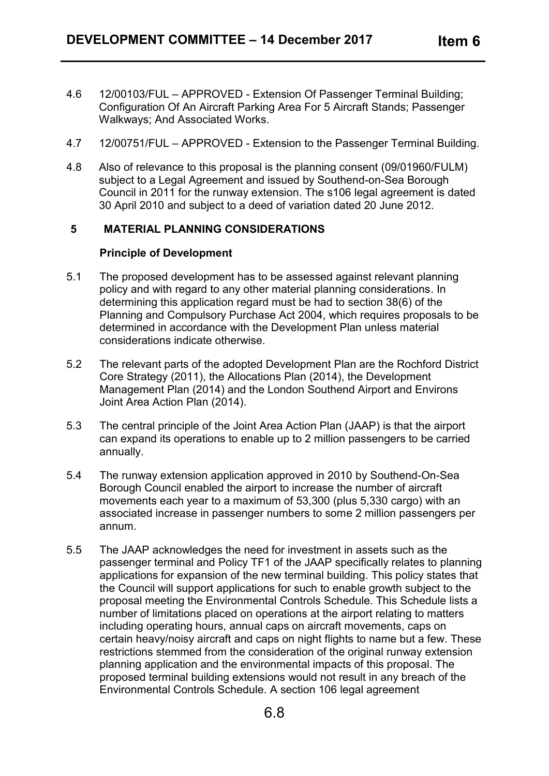- 4.6 12/00103/FUL APPROVED Extension Of Passenger Terminal Building; Configuration Of An Aircraft Parking Area For 5 Aircraft Stands; Passenger Walkways; And Associated Works.
- 4.7 12/00751/FUL APPROVED Extension to the Passenger Terminal Building.
- 4.8 Also of relevance to this proposal is the planning consent (09/01960/FULM) subject to a Legal Agreement and issued by Southend-on-Sea Borough Council in 2011 for the runway extension. The s106 legal agreement is dated 30 April 2010 and subject to a deed of variation dated 20 June 2012.

# **5 MATERIAL PLANNING CONSIDERATIONS**

#### **Principle of Development**

- 5.1 The proposed development has to be assessed against relevant planning policy and with regard to any other material planning considerations. In determining this application regard must be had to section 38(6) of the Planning and Compulsory Purchase Act 2004, which requires proposals to be determined in accordance with the Development Plan unless material considerations indicate otherwise.
- 5.2 The relevant parts of the adopted Development Plan are the Rochford District Core Strategy (2011), the Allocations Plan (2014), the Development Management Plan (2014) and the London Southend Airport and Environs Joint Area Action Plan (2014).
- 5.3 The central principle of the Joint Area Action Plan (JAAP) is that the airport can expand its operations to enable up to 2 million passengers to be carried annually.
- 5.4 The runway extension application approved in 2010 by Southend-On-Sea Borough Council enabled the airport to increase the number of aircraft movements each year to a maximum of 53,300 (plus 5,330 cargo) with an associated increase in passenger numbers to some 2 million passengers per annum.
- 5.5 The JAAP acknowledges the need for investment in assets such as the passenger terminal and Policy TF1 of the JAAP specifically relates to planning applications for expansion of the new terminal building. This policy states that the Council will support applications for such to enable growth subject to the proposal meeting the Environmental Controls Schedule. This Schedule lists a number of limitations placed on operations at the airport relating to matters including operating hours, annual caps on aircraft movements, caps on certain heavy/noisy aircraft and caps on night flights to name but a few. These restrictions stemmed from the consideration of the original runway extension planning application and the environmental impacts of this proposal. The proposed terminal building extensions would not result in any breach of the Environmental Controls Schedule. A section 106 legal agreement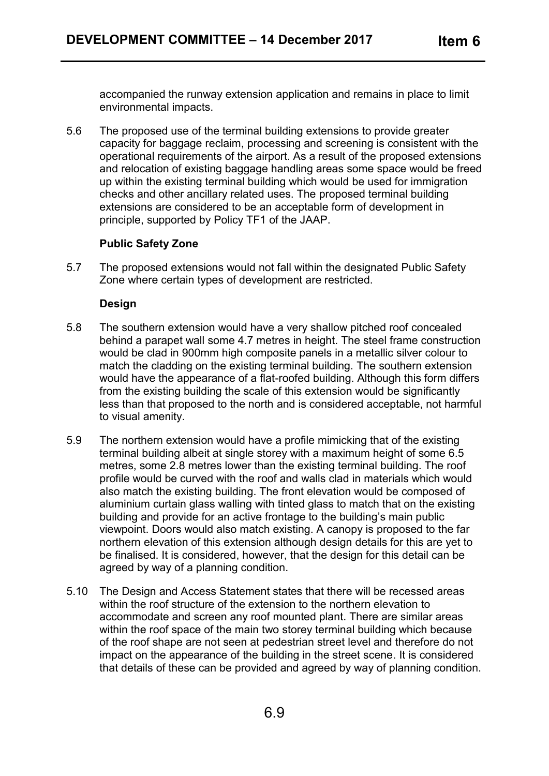accompanied the runway extension application and remains in place to limit environmental impacts.

5.6 The proposed use of the terminal building extensions to provide greater capacity for baggage reclaim, processing and screening is consistent with the operational requirements of the airport. As a result of the proposed extensions and relocation of existing baggage handling areas some space would be freed up within the existing terminal building which would be used for immigration checks and other ancillary related uses. The proposed terminal building extensions are considered to be an acceptable form of development in principle, supported by Policy TF1 of the JAAP.

## **Public Safety Zone**

5.7 The proposed extensions would not fall within the designated Public Safety Zone where certain types of development are restricted.

## **Design**

- 5.8 The southern extension would have a very shallow pitched roof concealed behind a parapet wall some 4.7 metres in height. The steel frame construction would be clad in 900mm high composite panels in a metallic silver colour to match the cladding on the existing terminal building. The southern extension would have the appearance of a flat-roofed building. Although this form differs from the existing building the scale of this extension would be significantly less than that proposed to the north and is considered acceptable, not harmful to visual amenity.
- 5.9 The northern extension would have a profile mimicking that of the existing terminal building albeit at single storey with a maximum height of some 6.5 metres, some 2.8 metres lower than the existing terminal building. The roof profile would be curved with the roof and walls clad in materials which would also match the existing building. The front elevation would be composed of aluminium curtain glass walling with tinted glass to match that on the existing building and provide for an active frontage to the building's main public viewpoint. Doors would also match existing. A canopy is proposed to the far northern elevation of this extension although design details for this are yet to be finalised. It is considered, however, that the design for this detail can be agreed by way of a planning condition.
- 5.10 The Design and Access Statement states that there will be recessed areas within the roof structure of the extension to the northern elevation to accommodate and screen any roof mounted plant. There are similar areas within the roof space of the main two storey terminal building which because of the roof shape are not seen at pedestrian street level and therefore do not impact on the appearance of the building in the street scene. It is considered that details of these can be provided and agreed by way of planning condition.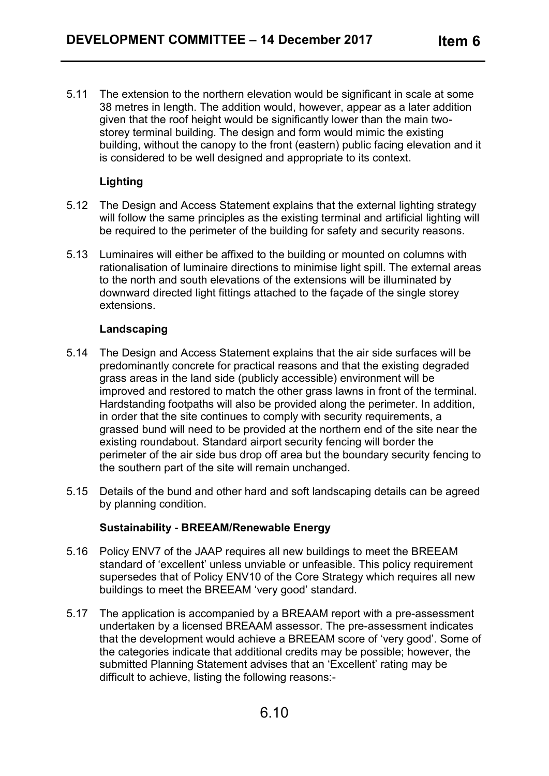5.11 The extension to the northern elevation would be significant in scale at some 38 metres in length. The addition would, however, appear as a later addition given that the roof height would be significantly lower than the main twostorey terminal building. The design and form would mimic the existing building, without the canopy to the front (eastern) public facing elevation and it is considered to be well designed and appropriate to its context.

# **Lighting**

- 5.12 The Design and Access Statement explains that the external lighting strategy will follow the same principles as the existing terminal and artificial lighting will be required to the perimeter of the building for safety and security reasons.
- 5.13 Luminaires will either be affixed to the building or mounted on columns with rationalisation of luminaire directions to minimise light spill. The external areas to the north and south elevations of the extensions will be illuminated by downward directed light fittings attached to the façade of the single storey extensions.

#### **Landscaping**

- 5.14 The Design and Access Statement explains that the air side surfaces will be predominantly concrete for practical reasons and that the existing degraded grass areas in the land side (publicly accessible) environment will be improved and restored to match the other grass lawns in front of the terminal. Hardstanding footpaths will also be provided along the perimeter. In addition, in order that the site continues to comply with security requirements, a grassed bund will need to be provided at the northern end of the site near the existing roundabout. Standard airport security fencing will border the perimeter of the air side bus drop off area but the boundary security fencing to the southern part of the site will remain unchanged.
- 5.15 Details of the bund and other hard and soft landscaping details can be agreed by planning condition.

#### **Sustainability - BREEAM/Renewable Energy**

- 5.16 Policy ENV7 of the JAAP requires all new buildings to meet the BREEAM standard of 'excellent' unless unviable or unfeasible. This policy requirement supersedes that of Policy ENV10 of the Core Strategy which requires all new buildings to meet the BREEAM 'very good' standard.
- 5.17 The application is accompanied by a BREAAM report with a pre-assessment undertaken by a licensed BREAAM assessor. The pre-assessment indicates that the development would achieve a BREEAM score of 'very good'. Some of the categories indicate that additional credits may be possible; however, the submitted Planning Statement advises that an 'Excellent' rating may be difficult to achieve, listing the following reasons:-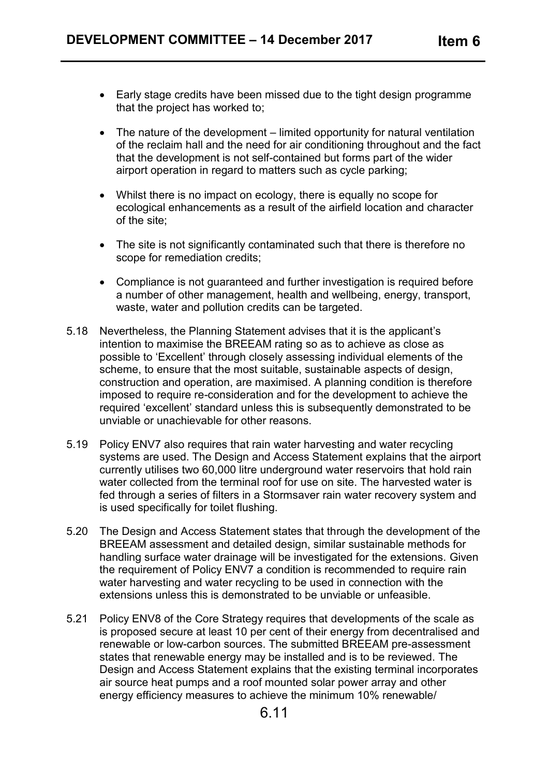- Early stage credits have been missed due to the tight design programme that the project has worked to;
- The nature of the development limited opportunity for natural ventilation of the reclaim hall and the need for air conditioning throughout and the fact that the development is not self-contained but forms part of the wider airport operation in regard to matters such as cycle parking;
- Whilst there is no impact on ecology, there is equally no scope for ecological enhancements as a result of the airfield location and character of the site;
- The site is not significantly contaminated such that there is therefore no scope for remediation credits;
- Compliance is not guaranteed and further investigation is required before a number of other management, health and wellbeing, energy, transport, waste, water and pollution credits can be targeted.
- 5.18 Nevertheless, the Planning Statement advises that it is the applicant's intention to maximise the BREEAM rating so as to achieve as close as possible to 'Excellent' through closely assessing individual elements of the scheme, to ensure that the most suitable, sustainable aspects of design, construction and operation, are maximised. A planning condition is therefore imposed to require re-consideration and for the development to achieve the required 'excellent' standard unless this is subsequently demonstrated to be unviable or unachievable for other reasons.
- 5.19 Policy ENV7 also requires that rain water harvesting and water recycling systems are used. The Design and Access Statement explains that the airport currently utilises two 60,000 litre underground water reservoirs that hold rain water collected from the terminal roof for use on site. The harvested water is fed through a series of filters in a Stormsaver rain water recovery system and is used specifically for toilet flushing.
- 5.20 The Design and Access Statement states that through the development of the BREEAM assessment and detailed design, similar sustainable methods for handling surface water drainage will be investigated for the extensions. Given the requirement of Policy ENV7 a condition is recommended to require rain water harvesting and water recycling to be used in connection with the extensions unless this is demonstrated to be unviable or unfeasible.
- 5.21 Policy ENV8 of the Core Strategy requires that developments of the scale as is proposed secure at least 10 per cent of their energy from decentralised and renewable or low-carbon sources. The submitted BREEAM pre-assessment states that renewable energy may be installed and is to be reviewed. The Design and Access Statement explains that the existing terminal incorporates air source heat pumps and a roof mounted solar power array and other energy efficiency measures to achieve the minimum 10% renewable/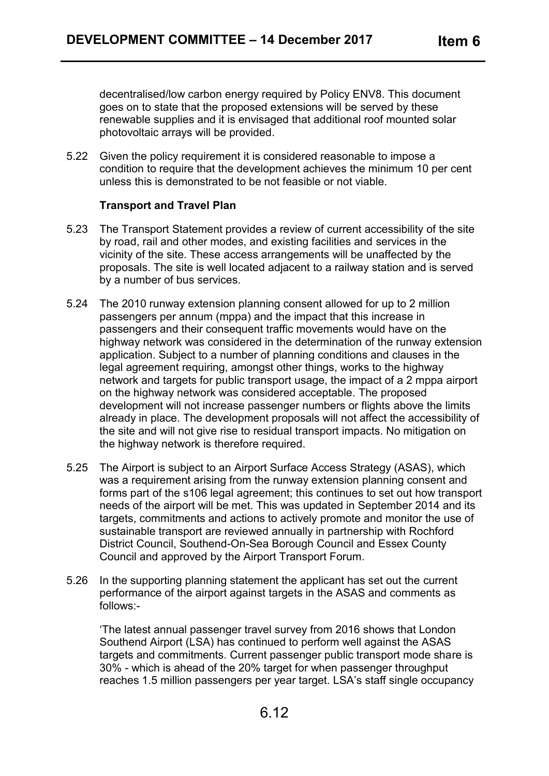decentralised/low carbon energy required by Policy ENV8. This document goes on to state that the proposed extensions will be served by these renewable supplies and it is envisaged that additional roof mounted solar photovoltaic arrays will be provided.

5.22 Given the policy requirement it is considered reasonable to impose a condition to require that the development achieves the minimum 10 per cent unless this is demonstrated to be not feasible or not viable.

## **Transport and Travel Plan**

- 5.23 The Transport Statement provides a review of current accessibility of the site by road, rail and other modes, and existing facilities and services in the vicinity of the site. These access arrangements will be unaffected by the proposals. The site is well located adjacent to a railway station and is served by a number of bus services.
- 5.24 The 2010 runway extension planning consent allowed for up to 2 million passengers per annum (mppa) and the impact that this increase in passengers and their consequent traffic movements would have on the highway network was considered in the determination of the runway extension application. Subject to a number of planning conditions and clauses in the legal agreement requiring, amongst other things, works to the highway network and targets for public transport usage, the impact of a 2 mppa airport on the highway network was considered acceptable. The proposed development will not increase passenger numbers or flights above the limits already in place. The development proposals will not affect the accessibility of the site and will not give rise to residual transport impacts. No mitigation on the highway network is therefore required.
- 5.25 The Airport is subject to an Airport Surface Access Strategy (ASAS), which was a requirement arising from the runway extension planning consent and forms part of the s106 legal agreement; this continues to set out how transport needs of the airport will be met. This was updated in September 2014 and its targets, commitments and actions to actively promote and monitor the use of sustainable transport are reviewed annually in partnership with Rochford District Council, Southend-On-Sea Borough Council and Essex County Council and approved by the Airport Transport Forum.
- 5.26 In the supporting planning statement the applicant has set out the current performance of the airport against targets in the ASAS and comments as follows:-

'The latest annual passenger travel survey from 2016 shows that London Southend Airport (LSA) has continued to perform well against the ASAS targets and commitments. Current passenger public transport mode share is 30% - which is ahead of the 20% target for when passenger throughput reaches 1.5 million passengers per year target. LSA's staff single occupancy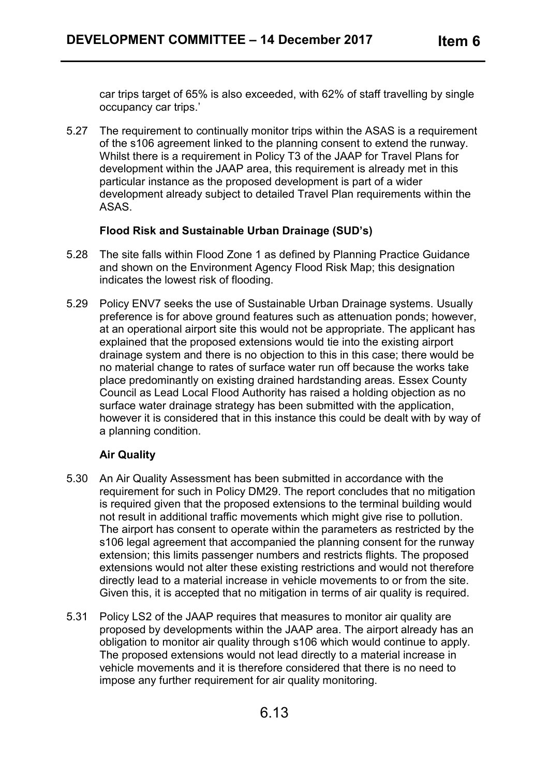car trips target of 65% is also exceeded, with 62% of staff travelling by single occupancy car trips.'

5.27 The requirement to continually monitor trips within the ASAS is a requirement of the s106 agreement linked to the planning consent to extend the runway. Whilst there is a requirement in Policy T3 of the JAAP for Travel Plans for development within the JAAP area, this requirement is already met in this particular instance as the proposed development is part of a wider development already subject to detailed Travel Plan requirements within the ASAS.

## **Flood Risk and Sustainable Urban Drainage (SUD's)**

- 5.28 The site falls within Flood Zone 1 as defined by Planning Practice Guidance and shown on the Environment Agency Flood Risk Map; this designation indicates the lowest risk of flooding.
- 5.29 Policy ENV7 seeks the use of Sustainable Urban Drainage systems. Usually preference is for above ground features such as attenuation ponds; however, at an operational airport site this would not be appropriate. The applicant has explained that the proposed extensions would tie into the existing airport drainage system and there is no objection to this in this case; there would be no material change to rates of surface water run off because the works take place predominantly on existing drained hardstanding areas. Essex County Council as Lead Local Flood Authority has raised a holding objection as no surface water drainage strategy has been submitted with the application, however it is considered that in this instance this could be dealt with by way of a planning condition.

# **Air Quality**

- 5.30 An Air Quality Assessment has been submitted in accordance with the requirement for such in Policy DM29. The report concludes that no mitigation is required given that the proposed extensions to the terminal building would not result in additional traffic movements which might give rise to pollution. The airport has consent to operate within the parameters as restricted by the s106 legal agreement that accompanied the planning consent for the runway extension; this limits passenger numbers and restricts flights. The proposed extensions would not alter these existing restrictions and would not therefore directly lead to a material increase in vehicle movements to or from the site. Given this, it is accepted that no mitigation in terms of air quality is required.
- 5.31 Policy LS2 of the JAAP requires that measures to monitor air quality are proposed by developments within the JAAP area. The airport already has an obligation to monitor air quality through s106 which would continue to apply. The proposed extensions would not lead directly to a material increase in vehicle movements and it is therefore considered that there is no need to impose any further requirement for air quality monitoring.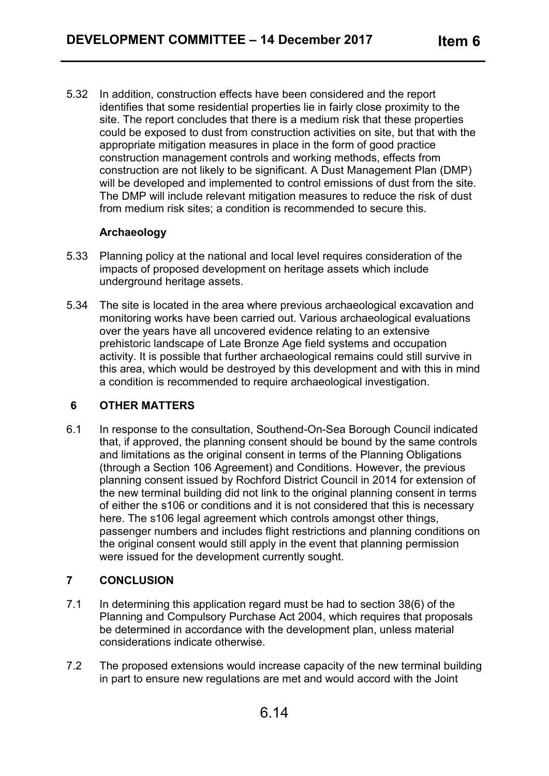5.32 In addition, construction effects have been considered and the report identifies that some residential properties lie in fairly close proximity to the site. The report concludes that there is a medium risk that these properties could be exposed to dust from construction activities on site, but that with the appropriate mitigation measures in place in the form of good practice construction management controls and working methods, effects from construction are not likely to be significant. A Dust Management Plan (DMP) will be developed and implemented to control emissions of dust from the site. The DMP will include relevant mitigation measures to reduce the risk of dust from medium risk sites; a condition is recommended to secure this.

# **Archaeology**

- 5.33 Planning policy at the national and local level requires consideration of the impacts of proposed development on heritage assets which include underground heritage assets.
- 5.34 The site is located in the area where previous archaeological excavation and monitoring works have been carried out. Various archaeological evaluations over the years have all uncovered evidence relating to an extensive prehistoric landscape of Late Bronze Age field systems and occupation activity. It is possible that further archaeological remains could still survive in this area, which would be destroyed by this development and with this in mind a condition is recommended to require archaeological investigation.

#### **6 OTHER MATTERS**

6.1 In response to the consultation, Southend-On-Sea Borough Council indicated that, if approved, the planning consent should be bound by the same controls and limitations as the original consent in terms of the Planning Obligations (through a Section 106 Agreement) and Conditions. However, the previous planning consent issued by Rochford District Council in 2014 for extension of the new terminal building did not link to the original planning consent in terms of either the s106 or conditions and it is not considered that this is necessary here. The s106 legal agreement which controls amongst other things, passenger numbers and includes flight restrictions and planning conditions on the original consent would still apply in the event that planning permission were issued for the development currently sought.

# **7 CONCLUSION**

- 7.1 In determining this application regard must be had to section 38(6) of the Planning and Compulsory Purchase Act 2004, which requires that proposals be determined in accordance with the development plan, unless material considerations indicate otherwise.
- 7.2 The proposed extensions would increase capacity of the new terminal building in part to ensure new regulations are met and would accord with the Joint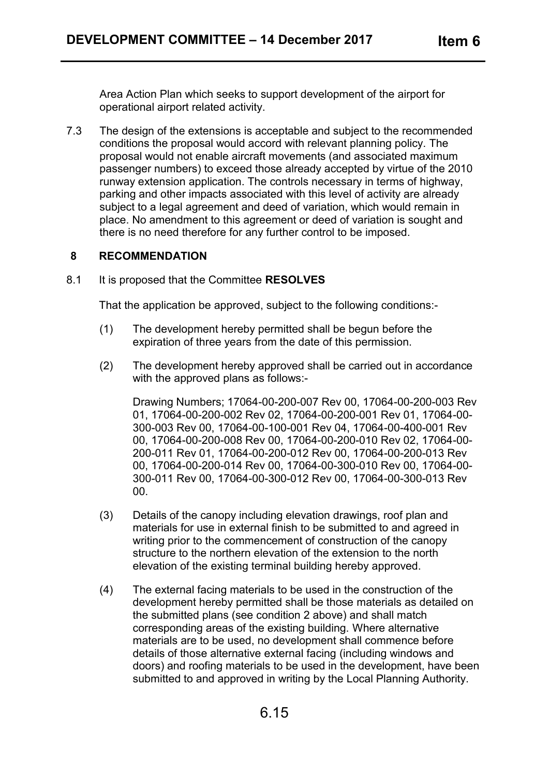Area Action Plan which seeks to support development of the airport for operational airport related activity.

7.3 The design of the extensions is acceptable and subject to the recommended conditions the proposal would accord with relevant planning policy. The proposal would not enable aircraft movements (and associated maximum passenger numbers) to exceed those already accepted by virtue of the 2010 runway extension application. The controls necessary in terms of highway, parking and other impacts associated with this level of activity are already subject to a legal agreement and deed of variation, which would remain in place. No amendment to this agreement or deed of variation is sought and there is no need therefore for any further control to be imposed.

#### **8 RECOMMENDATION**

8.1 It is proposed that the Committee **RESOLVES**

That the application be approved, subject to the following conditions:-

- (1) The development hereby permitted shall be begun before the expiration of three years from the date of this permission.
- (2) The development hereby approved shall be carried out in accordance with the approved plans as follows:-

Drawing Numbers; 17064-00-200-007 Rev 00, 17064-00-200-003 Rev 01, 17064-00-200-002 Rev 02, 17064-00-200-001 Rev 01, 17064-00- 300-003 Rev 00, 17064-00-100-001 Rev 04, 17064-00-400-001 Rev 00, 17064-00-200-008 Rev 00, 17064-00-200-010 Rev 02, 17064-00- 200-011 Rev 01, 17064-00-200-012 Rev 00, 17064-00-200-013 Rev 00, 17064-00-200-014 Rev 00, 17064-00-300-010 Rev 00, 17064-00- 300-011 Rev 00, 17064-00-300-012 Rev 00, 17064-00-300-013 Rev 00.

- (3) Details of the canopy including elevation drawings, roof plan and materials for use in external finish to be submitted to and agreed in writing prior to the commencement of construction of the canopy structure to the northern elevation of the extension to the north elevation of the existing terminal building hereby approved.
- (4) The external facing materials to be used in the construction of the development hereby permitted shall be those materials as detailed on the submitted plans (see condition 2 above) and shall match corresponding areas of the existing building. Where alternative materials are to be used, no development shall commence before details of those alternative external facing (including windows and doors) and roofing materials to be used in the development, have been submitted to and approved in writing by the Local Planning Authority.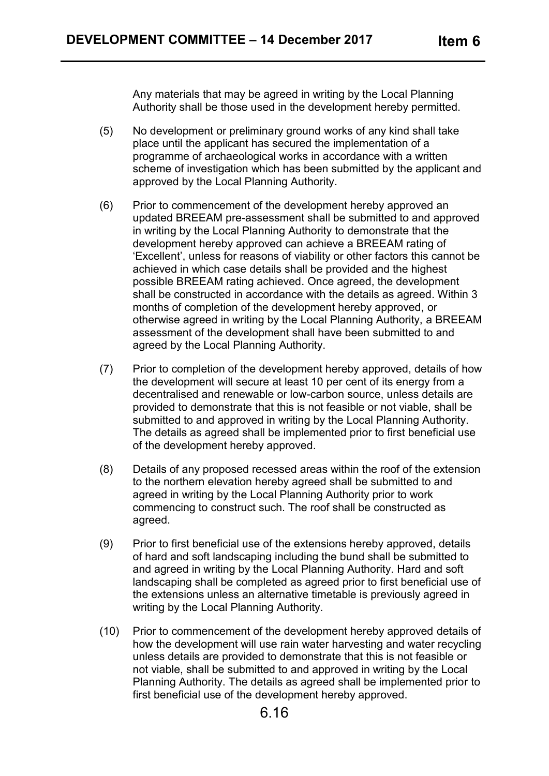Any materials that may be agreed in writing by the Local Planning Authority shall be those used in the development hereby permitted.

- (5) No development or preliminary ground works of any kind shall take place until the applicant has secured the implementation of a programme of archaeological works in accordance with a written scheme of investigation which has been submitted by the applicant and approved by the Local Planning Authority.
- (6) Prior to commencement of the development hereby approved an updated BREEAM pre-assessment shall be submitted to and approved in writing by the Local Planning Authority to demonstrate that the development hereby approved can achieve a BREEAM rating of 'Excellent', unless for reasons of viability or other factors this cannot be achieved in which case details shall be provided and the highest possible BREEAM rating achieved. Once agreed, the development shall be constructed in accordance with the details as agreed. Within 3 months of completion of the development hereby approved, or otherwise agreed in writing by the Local Planning Authority, a BREEAM assessment of the development shall have been submitted to and agreed by the Local Planning Authority.
- (7) Prior to completion of the development hereby approved, details of how the development will secure at least 10 per cent of its energy from a decentralised and renewable or low-carbon source, unless details are provided to demonstrate that this is not feasible or not viable, shall be submitted to and approved in writing by the Local Planning Authority. The details as agreed shall be implemented prior to first beneficial use of the development hereby approved.
- (8) Details of any proposed recessed areas within the roof of the extension to the northern elevation hereby agreed shall be submitted to and agreed in writing by the Local Planning Authority prior to work commencing to construct such. The roof shall be constructed as agreed.
- (9) Prior to first beneficial use of the extensions hereby approved, details of hard and soft landscaping including the bund shall be submitted to and agreed in writing by the Local Planning Authority. Hard and soft landscaping shall be completed as agreed prior to first beneficial use of the extensions unless an alternative timetable is previously agreed in writing by the Local Planning Authority.
- (10) Prior to commencement of the development hereby approved details of how the development will use rain water harvesting and water recycling unless details are provided to demonstrate that this is not feasible or not viable, shall be submitted to and approved in writing by the Local Planning Authority. The details as agreed shall be implemented prior to first beneficial use of the development hereby approved.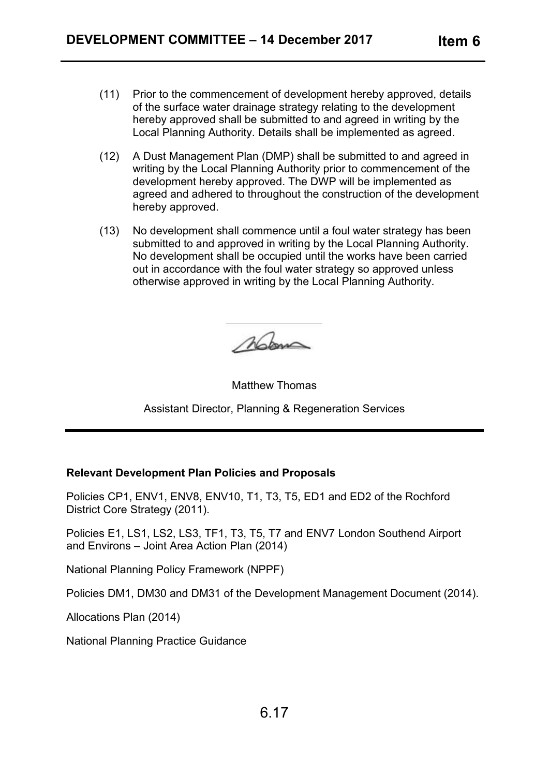- (11) Prior to the commencement of development hereby approved, details of the surface water drainage strategy relating to the development hereby approved shall be submitted to and agreed in writing by the Local Planning Authority. Details shall be implemented as agreed.
- (12) A Dust Management Plan (DMP) shall be submitted to and agreed in writing by the Local Planning Authority prior to commencement of the development hereby approved. The DWP will be implemented as agreed and adhered to throughout the construction of the development hereby approved.
- (13) No development shall commence until a foul water strategy has been submitted to and approved in writing by the Local Planning Authority. No development shall be occupied until the works have been carried out in accordance with the foul water strategy so approved unless otherwise approved in writing by the Local Planning Authority.

Mom

Matthew Thomas

Assistant Director, Planning & Regeneration Services

#### **Relevant Development Plan Policies and Proposals**

Policies CP1, ENV1, ENV8, ENV10, T1, T3, T5, ED1 and ED2 of the Rochford District Core Strategy (2011).

Policies E1, LS1, LS2, LS3, TF1, T3, T5, T7 and ENV7 London Southend Airport and Environs – Joint Area Action Plan (2014)

National Planning Policy Framework (NPPF)

Policies DM1, DM30 and DM31 of the Development Management Document (2014).

Allocations Plan (2014)

National Planning Practice Guidance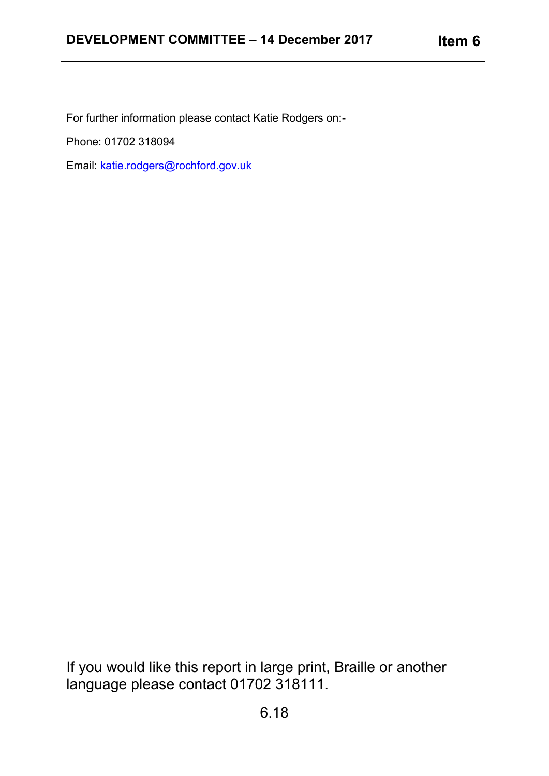For further information please contact Katie Rodgers on:-

Phone: 01702 318094

Email: [katie.rodgers@rochford.gov.uk](mailto:katie.rodgers@rochford.gov.uk)

If you would like this report in large print, Braille or another language please contact 01702 318111.